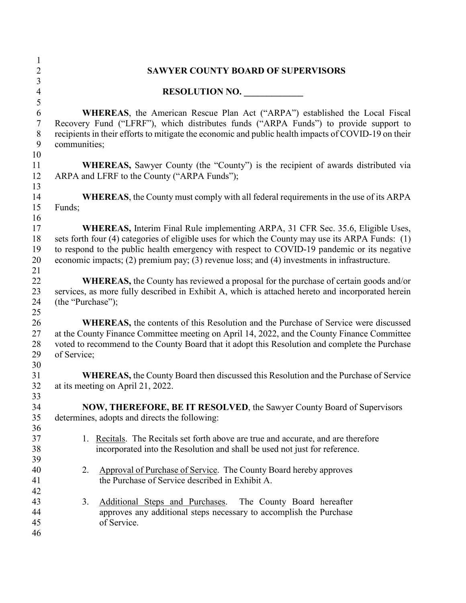| 1              |                                                                                                                                                                                            |  |  |  |
|----------------|--------------------------------------------------------------------------------------------------------------------------------------------------------------------------------------------|--|--|--|
| $\overline{2}$ | <b>SAWYER COUNTY BOARD OF SUPERVISORS</b>                                                                                                                                                  |  |  |  |
| 3              |                                                                                                                                                                                            |  |  |  |
| $\overline{4}$ | RESOLUTION NO.                                                                                                                                                                             |  |  |  |
| 5              |                                                                                                                                                                                            |  |  |  |
| 6              | <b>WHEREAS</b> , the American Rescue Plan Act ("ARPA") established the Local Fiscal                                                                                                        |  |  |  |
| $\tau$         | Recovery Fund ("LFRF"), which distributes funds ("ARPA Funds") to provide support to                                                                                                       |  |  |  |
| $8\,$          | recipients in their efforts to mitigate the economic and public health impacts of COVID-19 on their                                                                                        |  |  |  |
| 9              | communities;                                                                                                                                                                               |  |  |  |
| 10             |                                                                                                                                                                                            |  |  |  |
| 11             | <b>WHEREAS</b> , Sawyer County (the "County") is the recipient of awards distributed via                                                                                                   |  |  |  |
| 12             | ARPA and LFRF to the County ("ARPA Funds");                                                                                                                                                |  |  |  |
| 13             |                                                                                                                                                                                            |  |  |  |
| 14             | <b>WHEREAS</b> , the County must comply with all federal requirements in the use of its ARPA                                                                                               |  |  |  |
| 15             | Funds;                                                                                                                                                                                     |  |  |  |
| 16             |                                                                                                                                                                                            |  |  |  |
| 17             | WHEREAS, Interim Final Rule implementing ARPA, 31 CFR Sec. 35.6, Eligible Uses,                                                                                                            |  |  |  |
| 18             | sets forth four (4) categories of eligible uses for which the County may use its ARPA Funds: (1)                                                                                           |  |  |  |
| 19             | to respond to the public health emergency with respect to COVID-19 pandemic or its negative                                                                                                |  |  |  |
| 20             | economic impacts; (2) premium pay; (3) revenue loss; and (4) investments in infrastructure.                                                                                                |  |  |  |
| 21             |                                                                                                                                                                                            |  |  |  |
| 22             | <b>WHEREAS</b> , the County has reviewed a proposal for the purchase of certain goods and/or                                                                                               |  |  |  |
| 23             | services, as more fully described in Exhibit A, which is attached hereto and incorporated herein                                                                                           |  |  |  |
| 24             | (the "Purchase");                                                                                                                                                                          |  |  |  |
| 25<br>26       |                                                                                                                                                                                            |  |  |  |
| 27             | <b>WHEREAS</b> , the contents of this Resolution and the Purchase of Service were discussed<br>at the County Finance Committee meeting on April 14, 2022, and the County Finance Committee |  |  |  |
| 28             | voted to recommend to the County Board that it adopt this Resolution and complete the Purchase                                                                                             |  |  |  |
| 29             | of Service;                                                                                                                                                                                |  |  |  |
| 30             |                                                                                                                                                                                            |  |  |  |
| 31             | <b>WHEREAS, the County Board then discussed this Resolution and the Purchase of Service</b>                                                                                                |  |  |  |
| 32             | at its meeting on April 21, 2022.                                                                                                                                                          |  |  |  |
| 33             |                                                                                                                                                                                            |  |  |  |
| 34             | <b>NOW, THEREFORE, BE IT RESOLVED, the Sawyer County Board of Supervisors</b>                                                                                                              |  |  |  |
| 35             | determines, adopts and directs the following:                                                                                                                                              |  |  |  |
| 36             |                                                                                                                                                                                            |  |  |  |
| 37             | 1. Recitals. The Recitals set forth above are true and accurate, and are therefore                                                                                                         |  |  |  |
| 38             | incorporated into the Resolution and shall be used not just for reference.                                                                                                                 |  |  |  |
| 39             |                                                                                                                                                                                            |  |  |  |
| 40             | Approval of Purchase of Service. The County Board hereby approves<br>2.                                                                                                                    |  |  |  |
| 41             | the Purchase of Service described in Exhibit A.                                                                                                                                            |  |  |  |
| 42             |                                                                                                                                                                                            |  |  |  |
| 43             | 3.<br>Additional Steps and Purchases. The County Board hereafter                                                                                                                           |  |  |  |
| 44             | approves any additional steps necessary to accomplish the Purchase                                                                                                                         |  |  |  |
| 45             | of Service.                                                                                                                                                                                |  |  |  |
| 46             |                                                                                                                                                                                            |  |  |  |